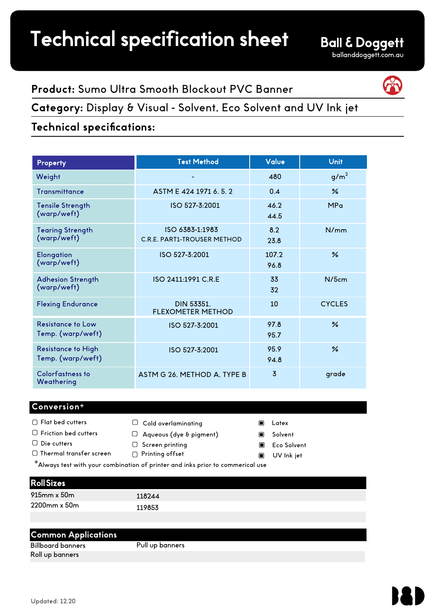# **Product:** Sumo Ultra Smooth Blockout PVC Banner

**Category:** Display & Visual - Solvent, Eco Solvent and UV Ink jet

## **Technical specifications:**

| Property                                       | <b>Test Method</b>                                    | Value          | <b>Unit</b>      |
|------------------------------------------------|-------------------------------------------------------|----------------|------------------|
| Weight                                         |                                                       | 480            | g/m <sup>2</sup> |
| Transmittance                                  | ASTM E 424 1971 6.5.2                                 | 0.4            | $\frac{9}{6}$    |
| <b>Tensile Strength</b><br>(warp/weft)         | ISO 527-3:2001                                        | 46.2<br>44.5   | <b>MPa</b>       |
| <b>Tearing Strength</b><br>(warp/weft)         | ISO 6383-1:1983<br><b>C.R.E. PART1-TROUSER METHOD</b> | 8.2<br>23.8    | N/mm             |
| <b>Elongation</b><br>(warp/weft)               | ISO 527-3:2001                                        | 107.2<br>96.8  | $\frac{6}{2}$    |
| <b>Adhesion Strength</b><br>(warp/weft)        | ISO 2411:1991 C.R.E                                   | 33<br>32       | N/5cm            |
| <b>Flexing Endurance</b>                       | <b>DIN 53351.</b><br><b>FLEXOMETER METHOD</b>         | 10             | <b>CYCLES</b>    |
| <b>Resistance to Low</b><br>Temp. (warp/weft)  | ISO 527-3:2001                                        | 97.8<br>95.7   | $\frac{9}{6}$    |
| <b>Resistance to High</b><br>Temp. (warp/weft) | ISO 527-3:2001                                        | 95.9<br>94.8   | $\frac{6}{2}$    |
| Colorfastness to<br>Weathering                 | ASTM G 26, METHOD A, TYPE B                           | $\overline{3}$ | grade            |

### **Conversion<sup>+</sup>**

- $\Box$  Flat bed cutters  $\Box$  Friction bed cutters  $\Box$  Die cutters  $\Box$  Thermal transfer screen  $\Box$  Screen printing □ Printing offset
	- $\Box$  Cold overlaminating
		-
	- $\Box$  Aqueous (dye & pigment)
	-
	-
- Latex  $\blacksquare$
- Solvent  $\blacksquare$
- $\blacksquare$ Eco Solvent
- $\blacksquare$ UV Ink jet

Always test with your combination of printer and inks prior to commerical use <sup>+</sup>

### Roll Sizes

| $915$ mm x $50$ m  | 118244 |
|--------------------|--------|
| $2200$ mm x $50$ m | 119853 |

### **Common Applications**

Billboard banners Roll up banners

Pull up banners

Updated: 12.20



### **Ball & Doggett** ballanddoggett.com.au